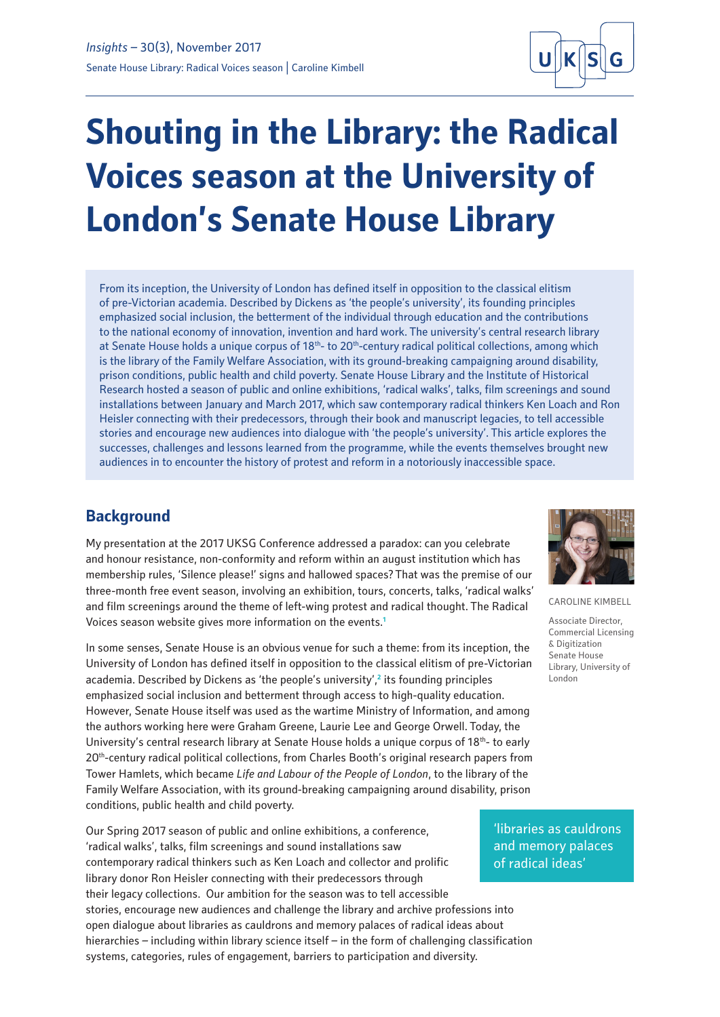

# **Shouting in the Library: the Radical Voices season at the University of London's Senate House Library**

From its inception, the University of London has defined itself in opposition to the classical elitism of pre-Victorian academia. Described by Dickens as 'the people's university', its founding principles emphasized social inclusion, the betterment of the individual through education and the contributions to the national economy of innovation, invention and hard work. The university's central research library at Senate House holds a unique corpus of 18<sup>th</sup>- to 20<sup>th</sup>-century radical political collections, among which is the library of the Family Welfare Association, with its ground-breaking campaigning around disability, prison conditions, public health and child poverty. Senate House Library and the Institute of Historical Research hosted a season of public and online exhibitions, 'radical walks', talks, film screenings and sound installations between January and March 2017, which saw contemporary radical thinkers Ken Loach and Ron Heisler connecting with their predecessors, through their book and manuscript legacies, to tell accessible stories and encourage new audiences into dialogue with 'the people's university'. This article explores the successes, challenges and lessons learned from the programme, while the events themselves brought new audiences in to encounter the history of protest and reform in a notoriously inaccessible space.

## **Background**

My presentation at the 2017 UKSG Conference addressed a paradox: can you celebrate and honour resistance, non-conformity and reform within an august institution which has membership rules, 'Silence please!' signs and hallowed spaces? That was the premise of our three-month free event season, involving an exhibition, tours, concerts, talks, 'radical walks' and film screenings around the theme of left-wing protest and radical thought. The Radical Voices season website gives more information on the events.**<sup>1</sup>**

In some senses, Senate House is an obvious venue for such a theme: from its inception, the University of London has defined itself in opposition to the classical elitism of pre-Victorian academia. Described by Dickens as 'the people's university',**<sup>2</sup>** its founding principles emphasized social inclusion and betterment through access to high-quality education. However, Senate House itself was used as the wartime Ministry of Information, and among the authors working here were Graham Greene, Laurie Lee and George Orwell. Today, the University's central research library at Senate House holds a unique corpus of  $18<sup>th</sup>$ - to early 20th-century radical political collections, from Charles Booth's original research papers from Tower Hamlets, which became *Life and Labour of the People of London*, to the library of the Family Welfare Association, with its ground-breaking campaigning around disability, prison conditions, public health and child poverty.

Our Spring 2017 season of public and online exhibitions, a conference, 'radical walks', talks, film screenings and sound installations saw contemporary radical thinkers such as Ken Loach and collector and prolific library donor Ron Heisler connecting with their predecessors through their legacy collections. Our ambition for the season was to tell accessible stories, encourage new audiences and challenge the library and archive professions into open dialogue about libraries as cauldrons and memory palaces of radical ideas about hierarchies – including within library science itself – in the form of challenging classification systems, categories, rules of engagement, barriers to participation and diversity.



CAROLINE KIMBELL

Associate Director, Commercial Licensing & Digitization Senate House Library, University of London

'libraries as cauldrons and memory palaces of radical ideas'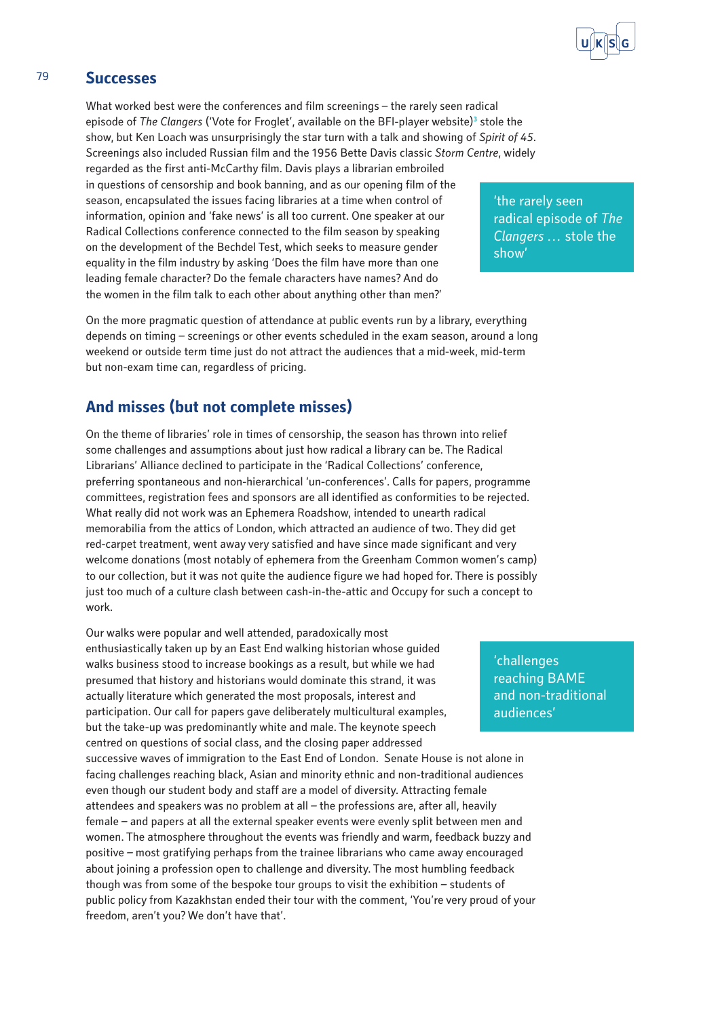

### 79 **Successes**

What worked best were the conferences and film screenings – the rarely seen radical episode of *The Clangers* ('Vote for Froglet', available on the BFI-player website)**<sup>3</sup>** stole the show, but Ken Loach was unsurprisingly the star turn with a talk and showing of *Spirit of 45*. Screenings also included Russian film and the 1956 Bette Davis classic *Storm Centre*, widely regarded as the first anti-McCarthy film. Davis plays a librarian embroiled in questions of censorship and book banning, and as our opening film of the season, encapsulated the issues facing libraries at a time when control of information, opinion and 'fake news' is all too current. One speaker at our Radical Collections conference connected to the film season by speaking on the development of the Bechdel Test, which seeks to measure gender equality in the film industry by asking 'Does the film have more than one leading female character? Do the female characters have names? And do the women in the film talk to each other about anything other than men?'

On the more pragmatic question of attendance at public events run by a library, everything depends on timing – screenings or other events scheduled in the exam season, around a long weekend or outside term time just do not attract the audiences that a mid-week, mid-term but non-exam time can, regardless of pricing.

## **And misses (but not complete misses)**

On the theme of libraries' role in times of censorship, the season has thrown into relief some challenges and assumptions about just how radical a library can be. The Radical Librarians' Alliance declined to participate in the 'Radical Collections' conference, preferring spontaneous and non-hierarchical 'un-conferences'. Calls for papers, programme committees, registration fees and sponsors are all identified as conformities to be rejected. What really did not work was an Ephemera Roadshow, intended to unearth radical memorabilia from the attics of London, which attracted an audience of two. They did get red-carpet treatment, went away very satisfied and have since made significant and very welcome donations (most notably of ephemera from the Greenham Common women's camp) to our collection, but it was not quite the audience figure we had hoped for. There is possibly just too much of a culture clash between cash-in-the-attic and Occupy for such a concept to work.

Our walks were popular and well attended, paradoxically most enthusiastically taken up by an East End walking historian whose guided walks business stood to increase bookings as a result, but while we had presumed that history and historians would dominate this strand, it was actually literature which generated the most proposals, interest and participation. Our call for papers gave deliberately multicultural examples, but the take-up was predominantly white and male. The keynote speech centred on questions of social class, and the closing paper addressed successive waves of immigration to the East End of London. Senate House is not alone in facing challenges reaching black, Asian and minority ethnic and non-traditional audiences even though our student body and staff are a model of diversity. Attracting female attendees and speakers was no problem at all – the professions are, after all, heavily female – and papers at all the external speaker events were evenly split between men and women. The atmosphere throughout the events was friendly and warm, feedback buzzy and positive – most gratifying perhaps from the trainee librarians who came away encouraged about joining a profession open to challenge and diversity. The most humbling feedback though was from some of the bespoke tour groups to visit the exhibition – students of public policy from Kazakhstan ended their tour with the comment, 'You're very proud of your freedom, aren't you? We don't have that'.

'the rarely seen radical episode of *The Clangers …* stole the show'

'challenges reaching BAME and non-traditional audiences'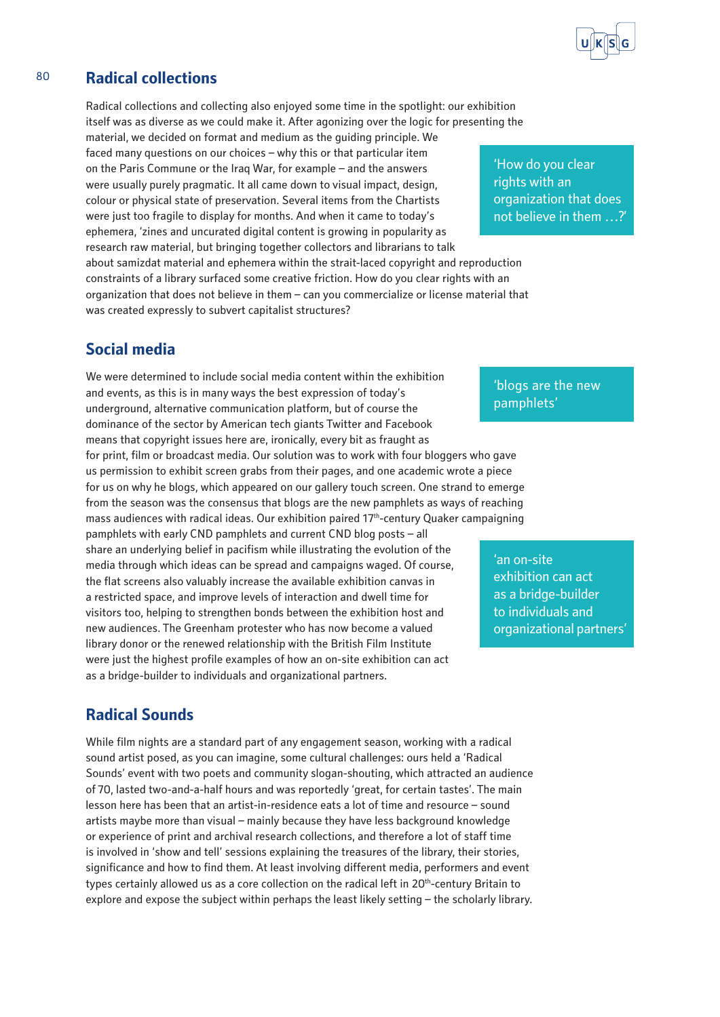

## 80 **Radical collections**

Radical collections and collecting also enjoyed some time in the spotlight: our exhibition itself was as diverse as we could make it. After agonizing over the logic for presenting the

material, we decided on format and medium as the guiding principle. We faced many questions on our choices – why this or that particular item on the Paris Commune or the Iraq War, for example – and the answers were usually purely pragmatic. It all came down to visual impact, design, colour or physical state of preservation. Several items from the Chartists were just too fragile to display for months. And when it came to today's ephemera, 'zines and uncurated digital content is growing in popularity as research raw material, but bringing together collectors and librarians to talk about samizdat material and ephemera within the strait-laced copyright and reproduction constraints of a library surfaced some creative friction. How do you clear rights with an organization that does not believe in them – can you commercialize or license material that was created expressly to subvert capitalist structures?

# **Social media**

We were determined to include social media content within the exhibition and events, as this is in many ways the best expression of today's underground, alternative communication platform, but of course the dominance of the sector by American tech giants Twitter and Facebook means that copyright issues here are, ironically, every bit as fraught as for print, film or broadcast media. Our solution was to work with four bloggers who gave us permission to exhibit screen grabs from their pages, and one academic wrote a piece for us on why he blogs, which appeared on our gallery touch screen. One strand to emerge from the season was the consensus that blogs are the new pamphlets as ways of reaching mass audiences with radical ideas. Our exhibition paired 17th-century Quaker campaigning pamphlets with early CND pamphlets and current CND blog posts – all share an underlying belief in pacifism while illustrating the evolution of the media through which ideas can be spread and campaigns waged. Of course, the flat screens also valuably increase the available exhibition canvas in a restricted space, and improve levels of interaction and dwell time for visitors too, helping to strengthen bonds between the exhibition host and new audiences. The Greenham protester who has now become a valued library donor or the renewed relationship with the British Film Institute were just the highest profile examples of how an on-site exhibition can act as a bridge-builder to individuals and organizational partners.

# **Radical Sounds**

While film nights are a standard part of any engagement season, working with a radical sound artist posed, as you can imagine, some cultural challenges: ours held a 'Radical Sounds' event with two poets and community slogan-shouting, which attracted an audience of 70, lasted two-and-a-half hours and was reportedly 'great, for certain tastes'. The main lesson here has been that an artist-in-residence eats a lot of time and resource – sound artists maybe more than visual – mainly because they have less background knowledge or experience of print and archival research collections, and therefore a lot of staff time is involved in 'show and tell' sessions explaining the treasures of the library, their stories, significance and how to find them. At least involving different media, performers and event types certainly allowed us as a core collection on the radical left in 20<sup>th</sup>-century Britain to explore and expose the subject within perhaps the least likely setting – the scholarly library.

'How do you clear rights with an organization that does not believe in them …?'

'blogs are the new pamphlets'

'an on-site exhibition can act as a bridge-builder to individuals and organizational partners'